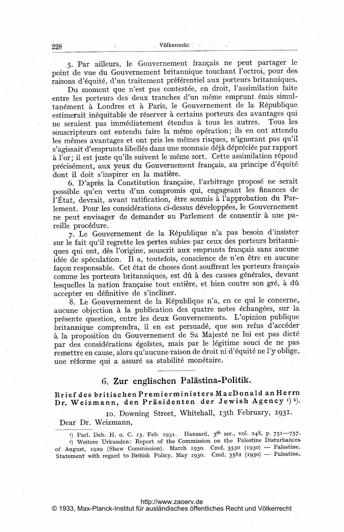5. Par ailleurs, le Gouvernement français ne peut partager le point de vue du Gouvernement britannique touchant l'octroi, pour des raisons d'équité, d'un traitement préférentiel aux porteurs britanniques.

Du moment que n'est pas contestée, en droit, l'assimilation faite entre les porteurs des deux tranches d'un même emprunt émis simultanément à Londres et à Paris, le Gouvernement de la République estimerait inéquitable de réserver à certains porteurs des avantages qui ne seraient pas immédiatement étendus à tous les autres. Tous les souscripteurs ont entendu faire la même opération; ils en ont attendu les mêmes avantages et ont pris les mêmes risques, n'ignorant pas qu'il s'agissait d'emprunts libellés dans une monnaie déjà dépréciée par rapport à l'or; il est juste qu'ils suivent le même sort. Cette assimilation répond précisément, aux yeux du Gouvernement français, au principe d'équité dont il doit s'inspirer en la matière.

6. D'après la Constitution française, l'arbitrage proposé ne serait possible qu'en vertu d'un compromis qui, engageant les finances de l'État, devrait, avant ratification, être soumis à l'approbation du Parlement. Pour les considérations ci-dessus développées, le Gouvernement ne peut envisager de demander au Parlement de consentir à une pareille procédure.

7. Le Gouvernement de la République n'a pas besoin d'insister sur le fait qu'il regrette les pertes subies par ceux des porteurs britanniques qui ont, dès l'origine, souscrit aux emprunts français sans aucune idée de spéculation. Il a, toutefois, conscience de n'en être en aucune façon responsable. Cet état de choses dont souffrent les porteurs français comme les porteurs britanniques, est dû à des causes générales, devant lesquelles la nation française tout entière, et bien contre son gré, à dû accepter en définitive de s'incliner.

8. Le Gouvernement de la République n'a, en ce qui le concerne, aucune objection à la publication des quatre notes échangées, sur la présente question, entre les deux Gouvernements. L'opinion publique britannique comprendra, il en est persuadé, que son refus d'accéder à la proposition du Gouvernement de Sa Majesté ne lui est pas dicté par des considérations égoistes, mais par le légitime souci de ne pas remettre en cause, alors qu'aucune raison de droit ni d'équité ne l'y oblige, une réforme qui a assuré sa stabilité monétaire.

## 6. Zur englischen Pahistina-Politik.

# Brief des britischen Premierministers MacDonald an Herrn Dr. Weizmann, den Präsidenten der Jewish Agency<sup>1</sup>)<sup>2</sup>).

io. Downing Street, Whitehall, 13th February, 1931. Dear Dr. Weizmann,

1) Parl. Deb. H. o. C. 13. Feb. 1931. Hansard, 5<sup>th</sup> ser., vol. 248, p. 751-757. <sup>2</sup>) Weitere Urkunden: Report of the Commission on the Palestine Disturbances. of August, 1929 (Shaw Commission). March 1930. Cmd. 3530 (1930) - Palestine. Statement with regard to British Policy. May 1930. Cmd. 3582 (1930) - Palestine.

#### <http://www.zaoerv.de>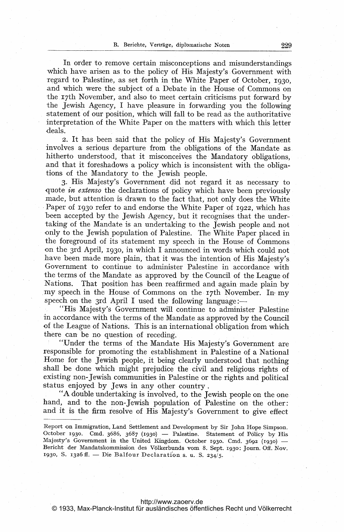In order to remove certain misconceptions and misunderstandings which have arisen as to the policy of His Majesty's Government with regard to Palestine, as set forth in the White Paper of October, 1930, and which were-the subject of <sup>a</sup> Debate in the House of Commons on the. 17th November, and also to meet certain criticisms put forward by the Jewish Agency, <sup>I</sup> have pleasure in forwarding you the following statement of our position, which will fall to be read as the authoritative interpretation of the White Paper on the matters with which this letter deals.

2. It has been said that the policy of His Majesty's Government involves a serious departure from the obligations of the Mandate as. hitherto understood, that it misconceives the Mandatory obligations, and that it foreshadows <sup>a</sup> policy which is inconsistent with the obligations of the Mandatory to the Jewish people.

3. His Majesty's Government did not regard it as necessary to quote *in extenso* the declarations of policy which have been previously made, but attention is drawn to the fact that, not only does the White Paper of 193o refer to and endorse the White Paper of 1922, which has been accepted by the Jewish Agency, but it recognises that the undertaking of the Mandate is an undertaking to the Jewish people and not only to the Jewish population of Palestine. The White Paper placed in the foreground of its statement my speech in the House of Commons on the 3rd April, 1930, in which <sup>I</sup> announced in words which could not .have been made more plain, that it was the intention of His Majesty's Government to continue to administer Palestine in accordance with the terms of the Mandate as approved by the Council of the League of Nations. That position has been reaffirmed and again made plain by my speech in the House of Commons on the 17th November. In. my speech on the 3rd April I used the following language:-

"His Majesty's Government will continue to administer Palestine in accordance with the terms of the Mandate as approved by the Council of the League of Nations. This is an international obligation from which there can be no question of receding-

"Under the terms of the Mandate His Majesty's Government are responsible for promoting the establishment in Palestine of a National Home for the Jewish people, it. being clearly understood that nothing shall be done which might prejudice the, civil and religious rights of existing non-Jewish communities in Palestine or the rights and political status enjoyed by Jews in any other country

"A double undertaking is involved, to, the Jewish people on the one hand, and to the non-Jewish population of Palestine on the other: and it is the firm resolve of His Majesty's Government to give effect

Report on Immigration, Land Settlement and Development by Sir John Hope Simpson. October 1930. Cmd. 3686, 3687 (1930) - Palestine. Statement of Policy by His Majesty's Government in the United Kingdom. October 1930. Cmd. 3692 (1930) -Bericht der Mandatskommission des V61kerbunds vorn 8. Sept. 1930: Journ. Off. Nov. 1930, S. 1326 ff. - Die Balfour Declaration s. u. S. 234/5.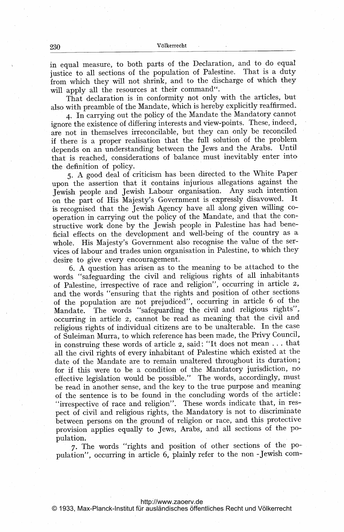in equal measure, to both parts of the Declaration, and to do equal justice to all sections of the population of Palestine. That is <sup>a</sup> duty from which they will not shrink, and to the discharge of which they will apply all the resources at their command".

That declaration is in conformity not only with the articles, but also with preamble of the Mandate, Which is hereby explicitly reaffirmed.

4. In carrying out the policy of the Mandate the Mandatory cannot ignore the existence of differing interests and view-points. These, indeed, are not in themselves irreconcilable, but they can only be reconciledif there is <sup>a</sup> proper realisation that the full solution of the problern depends on an understanding between the Jews and the Arabs. Until. that is reached, considerations of balance must inevitably enter into, the definition of policy.

5. A good deal of criticism has been directed to the White Paper upon the assertion that it contains injurious allegations against the Jewish people and Jewish Labour organisation. Any such intention. on the part of His Majesty's Government is expressly disavowed. It is recognised that the Jewish Agency have all along given willing cooperation in carrying out the policy of the Mandate, and that the constructive work done by the Jewish people in Palestine has had beneficial effects on the development and well-being of the country as a, whole. His Majesty's Government also recognise the value of the services of labour'and trades union organisation in Palestine, to which they desire to give every encouragement.

6. A question has arisen as to the meaning to be attached to the words "safeguarding the civil and religious rights of all inhabitants of Palestine, irrespective of race and religion", occurring in article 2, and the words "ensuring that the rights and position of other sections, of the population are not prejudiced", occurring in article <sup>6</sup> of the Mandate. The words "safeguarding the civil and religious rights", occurring in article 2, cannot be read as meaning that the civil and religious rights of individual citizens are to be unalterable. In the case: of Suleiman Murra, to which reference has been made, the Privy Council, in construing these words of article 2, said: "It does not mean  $\dots$  that all the civil rights of every inhabitant of Palestine which existed at thedate of the Mandate are to remain unaltered throughout its duration; for if this were to be a condition of the Mandatory jurisdiction, no effective legislation would be possible." The words, accordingly, must be read in another sense, and the key to the true purpose and meaning of the sentence is to be found in the concluding words of the article: "irrespective of race and religion". These words indicate that, in respect of civil and religious rights, the- Mandatory is not to discriminate between persons on the ground of religion or race, and this protective provision applies equally to Jews, Arabs, and all sections of the po- pulation.

7. The words "rights and position of other sections of the population", occurring in article 6, plainly refer to the non-Jewish com-

#### [http://www.zaoerv.de](com-http://www.zaoerv.de)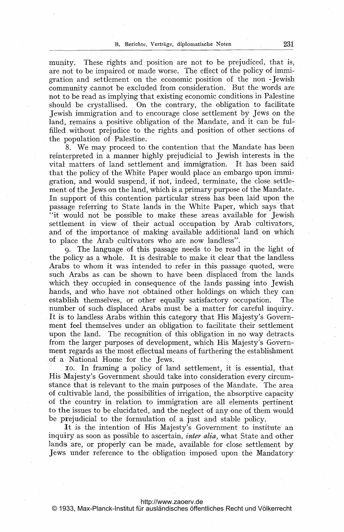munity. These rights and position are not to be prejudiced, that is, are not to be impaired or made worse. The effect of the policy of immigration and settlement on the economic position of the non -Jewish community cannot be excluded from consideration. But the words are not to be read as implying that existing economic conditions in Palestine should be crystallised. On the contrary, the obligation to facilitate Jewish immigration and to encourage close settlement by Jews on the land, remains a positive obligation of the Mandate, and it can be fulfilled without prejudice to the rights and position of other sections of the population of Palestine.

8. We may proceed to the contention that the Mandate has been reinterpreted in a manner highly prejudicial to Jewish interests in the vital, matters of land settlement and immigration. It has been said that the policy of the White Paper would place an embargo upon immigration, and would suspend, if not, indeed, terminate, the close settlement of the Jews on the land, which is a primary purpose of the Mandate. In support of this contention particular stress has been laid upon the passage referring to State lands in the White Paper, which says that "it would not be possible to make these areas available for Jewish settlement in view of their actual occupation by Arab cultivators, and of the importance of making available additional land on which to place the Arab cultivators who are now landless".

9. The language of this passage needs to be read in the light of the policy as a whole. It is desirable to make it clear that the landless Arabs to whom it was intended to refer in this passage quoted, were such Arabs as can be shown to have been displaced from the lands which they occupied in consequence of the lands passing into Jewish hands, and who have not obtained other holdings on which they can establish themselves, or other equally satisfactory occupation. The number of such displaced Arabs must be a matter for careful inquiry. It is to landless Arabs within this category that His Majesty's Government feel themselves under an obligation to facilitate their settlement upon the land. The recognition of this obligation in no way detracts from the larger purposes of.development, which His, Majesty's Government regards as the most effectual means of furthering the establishment of a National Home for the Jews.

Io. In framing a policy of land settlement, it is essential, that His Majesty's Government should take into consideration every circumstance that is relevant to the main purposes of the Mandate. The area of cultivable land, the possibilities of irrigation, the absorptive capacity of the country in relation to immigration are all elements pertinent to the issues to be elucidated, and the neglect of any one of them would be prejudicial to the formulation of a just and stable policy.

It is the intention of His Majesty's Government to institute an inquiry as soon as possible to ascertain, *inter alia*, what State and other lands are, or properly can be made, available for close settlement by Jews under reference to the obligation imposed upon the Mandatory

<http://www.zaoerv.de>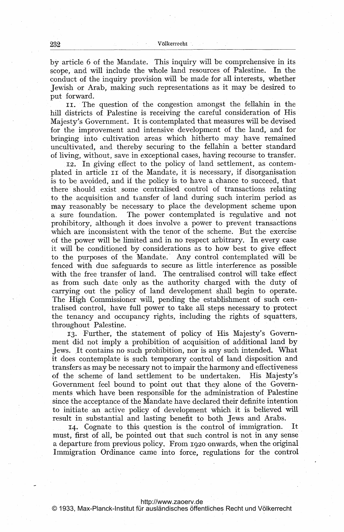by article 6 of the Mandate. This inquiry will be comprehensive in its scope, and will include the whole land resources of Palestine. In the conduct of the inquiry provision will be made for all interests, whether Jewish or Arab, making such representations as it. may be desired to put forward.

II. The question of the congestion amongst the fellahin in the hill districts of. Palestine is receiving the careful consideration of His Majesty's Government. It is contemplated that measures will be devised for the improvement and intensive development of the land, and for bringing into cultivation areas which hitherto may have remained uncultivated, and thereby securing to the fellahin a better standard of living, without, save in exceptional cases, having recourse to transfer.

,12. In giving effect to the policy of land settlement, as contemplated in article II of the Mandate, it is necessary, if disorganisation is to be avoided, and if the policy is to have a chance to succeed, that there should exist, some centralised control of transactions relating to the acquisition and tiansfer of land during such interim period as may reasonably be necessary to place the development scheme upon <sup>a</sup> sure foundation. The power contemplated is regulative and not prohibitory, although it does involve a power to prevent transactions which are inconsistent with the tenor of the scheme. But the exercise of the power will be limited and in no respect arbitrary. In every case it will be conditioned by considerations as to how best to give effect to the purposes of the Mandate.' Any control contemplated will be fenced with due safeguards to secure as little interference as possible with the free transfer of land. The centralised control will take effect' as from such date only as the authority charged with the duty of carrying out the policy of land development shall begin to operate. The High Commissioner will, pending the establishment of such centralised control, have full power to take all steps necessary to protect the tenancy and occupancy rights, including the rights of squatters, throughout Palestine.

13. Further, the statement of policy of His Majesty's Government did not imply a prohibition of acquisition of additional land by Jews. It contains no such prohibition, nor is any such intended. What it does contemplate is such temporary control of land disposition and .transfers as may be necessary not to impair the harmony and effectiveness of the scheme of land settlement to be undertaken. His Majesty's Government feel bound to point out that they alone of the Governments which have been responsible for the administration of Palestine since the acceptance of the Mandate have declared their definite intention to initiate an active policy of development which it is believed will result in substantial and lasting benefit to both Jews and Arabs.

14- Cognate to this question is the control of immigration. It must, first of all, be pointed out that such control is not in any sense <sup>a</sup> departure from previous policy. From 192o onwards, when the original Immigration Ordinance came into force, regulations for the control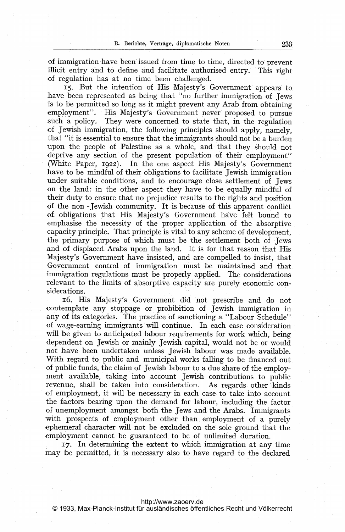of immigration have been issued from time to time, directed to prevent illicit entry and to define and facilitate authorised entry. This right illicit entry and to define and facilitate authorised entry. of regulation has at no time been challenged.

15. But the intention of His Majesty's Government appears' to have been represented as being that "no further immigration of Jews is to be permitted so long as it might prevent any Arab from obtaining employment". His Majesty's Government never proposed to pursue such a policy. They were concerned to state that, in the regulation They were concerned to state that, in the regulation of Jewish immigration, the following principles should apply, namely, that "it is essential to ensure that the immigrants should not be a burden upon the people of Palestine as a whole, and that they should not deprive any section of the present population of their employment" (White Paper, 1922). In the one aspect His Majesty's Government have to be mindful of their obligations to facilitate Jewish immigration under suitable conditions, and to encourage close settlement of Jews on the land: in the other aspect they have to be equally mindful of their duty to ensure that no prejudice results to the rights and position of the non -Jewish community. It is because of this apparent conflict of. obligations that His Majesty's Government have felt bound to emphasise the necessity of the proper application of the absorptive capacity principle. That principle is vital to any scheme of development, the primary purpose of which must be the settlement both of Jews and of displaced Arabs upon the land. It is for that reason that His Majesty's Government have insisted, and are compelled to insist, that Government. control of immigration must be maintained and that immigration regulations must be properly applied. The considerations relevant to the limits of absorptive capacity are purely economic considerations.

16. His Majesty's. Government did not prescribe and do not contemplate any stoppage or prohibition of Jewish immigration in any of its categories. The practice of sanctioning a "Labour Schedule" of wage-earning immigrants will continue. In each case consideration will be given to anticipated labour requirements for work which, being dependent on Jewish or mainly Jewish capital, would not be or would not have been undertaken unless Jewish labour was made available. With regard to public and municipal works falling to be financed out of public funds, the claim of Jewish labour to a due share of the employment available, taking into account Jewish contributions to public revenue, shall be taken into consideration. As regards other kinds of employment, it will be necessary in each case to take into account the factors bearing upon the demand for labour, including the factor of unemployment amongst both the Jews and the Arabs. Immigrants with prospects of employment other than employment of a purely -ephemeral character will not be excluded on the sole ground that the employment cannot be guaranteed to be of unlimited duration.

17. In determining the extent to which immigration at any time may be permitted, it is necessary also to have regard to the declared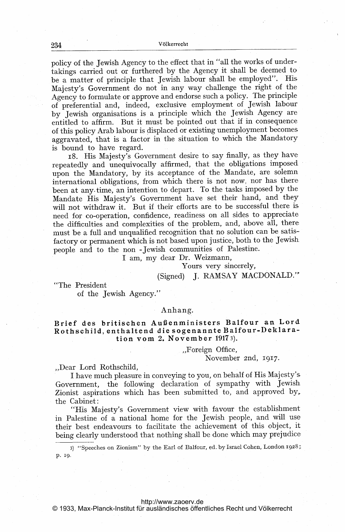policy of the Jewish Agency to the effect that in "all the works of undertakings carried out or furthered by the Agency it shall be deemed to be <sup>a</sup> matter of principle that Jewish labour shall be employed". His Majesty's Government do not in any way challenge the right of the Agency to formulate or approve and endorse such <sup>a</sup> policy. The principle of preferential and, indeed, exclusive employment of Jewish labour by Jewish organisations is a principle which the Jewish Agency are entitled to affirm. But it must be pointed out that if in consequence of this policy Arab labour is displaced or existing unemployment becomes aggravated, that is <sup>a</sup> factor in the situation to which the Mandatory is bound to have regard.

18. His Majesty's Government desire to say finally, as they have repeatedly and unequivocally affirmed, that the obligations imposed upon the Mandatory, by its acceptance of the Mandate, are solemn international obligations, from which there is not now, nor has there been at any time, an intention to depart. To the tasks imposed by the Mandate His Majesty's Government have set their hand, and they will not withdraw it. But if their efforts are to be successful there is need for co-operation, confidence, readiness on all sides to appreciate the difficulties and complexities of the problem, and, above all, there must be <sup>a</sup> full and unqualified recognition that no solution can be satisfactory or permanent which is not based upon justice, both to the Jewish. people and to the non -Jewish communities of Palestine.

<sup>I</sup> am, my dear Dr. Weizmann,

Yours very sincerely,

(Signed) J. RAMSAY MACDONALD."'

"The President

of the Jewish Agency."

#### Anhang.

## Brief des britischen Außenministers Balfour an Lord Rothschild, enthaltend die sogenannte Balfour-Deklaration vom 2. November 19173).

,Foreign Office, November 2nd, 1917.

,,Dear Lord Rothschild,

<sup>I</sup> have much pleasure in conveying to you, on behalf of His Majesty's Government, the following declaration of sympathy with Jewish-Zionist aspirations which has been submitted to, and approved by, the Cabinet:

"His Majesty's Government view with favour the establishment in Palestine of a national home for the Jewish people, and will use their best endeavours to facilitate the achievement of this object, it being clearly understood that nothing shall be done which may prejudice

3) "Speeches on Zionism" by the Earl of Balfour, ed. by Israel Cohen, London 1928; p. 19.

#### <http://www.zaoerv.de>